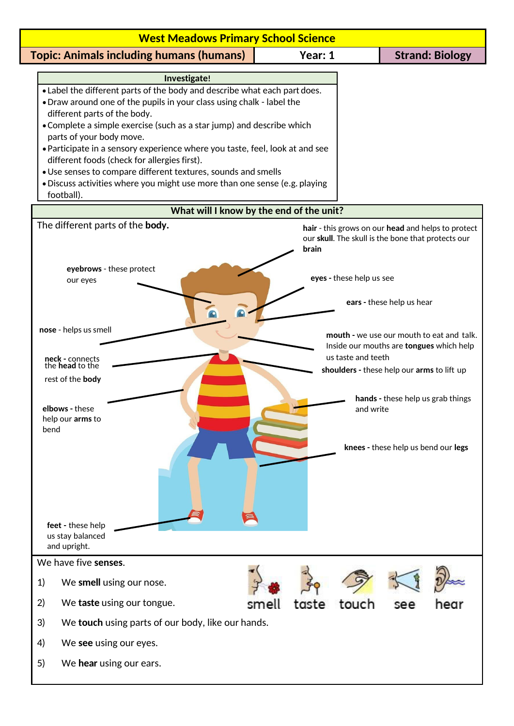